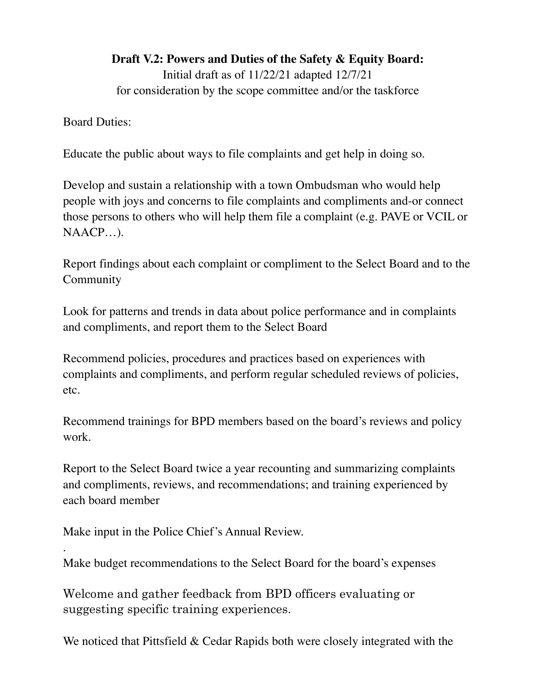**Draft V.2: Powers and Duties of the Safety & Equity Board:**

Initial draft as of 11/22/21 adapted 12/7/21 for consideration by the scope committee and/or the taskforce

Board Duties:

.

Educate the public about ways to file complaints and get help in doing so.

Develop and sustain a relationship with a town Ombudsman who would help people with joys and concerns to file complaints and compliments and-or connect those persons to others who will help them file a complaint (e.g. PAVE or VCIL or NAACP…).

Report findings about each complaint or compliment to the Select Board and to the Community

Look for patterns and trends in data about police performance and in complaints and compliments, and report them to the Select Board

Recommend policies, procedures and practices based on experiences with complaints and compliments, and perform regular scheduled reviews of policies, etc.

Recommend trainings for BPD members based on the board's reviews and policy work.

Report to the Select Board twice a year recounting and summarizing complaints and compliments, reviews, and recommendations; and training experienced by each board member

Make input in the Police Chief's Annual Review.

Make budget recommendations to the Select Board for the board's expenses

Welcome and gather feedback from BPD officers evaluating or suggesting specific training experiences.

We noticed that Pittsfield & Cedar Rapids both were closely integrated with the